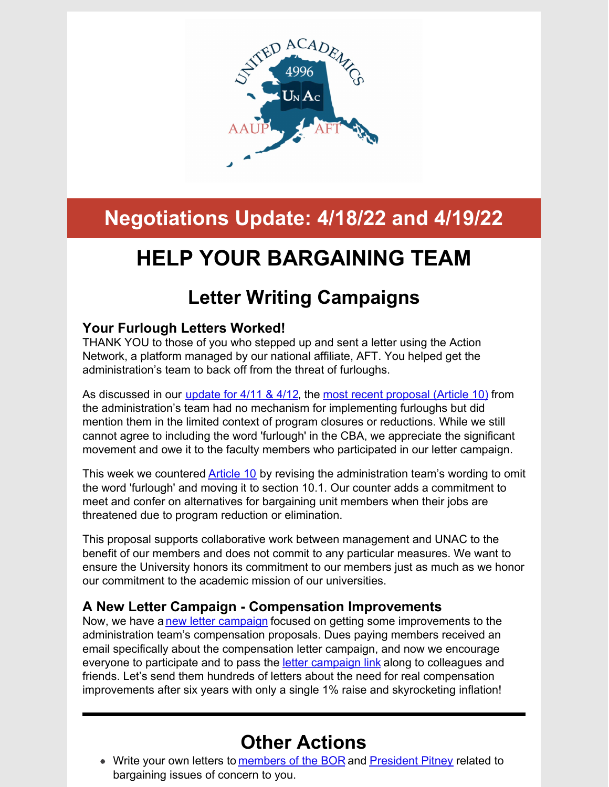

# **Negotiations Update: 4/18/22 and 4/19/22**

# **HELP YOUR BARGAINING TEAM**

# **Letter Writing Campaigns**

### **Your Furlough Letters Worked!**

THANK YOU to those of you who stepped up and sent a letter using the Action Network, a platform managed by our national affiliate, AFT. You helped get the administration's team to back off from the threat of furloughs.

As discussed in our *[update](http://unitedacademics.net/wp-content/uploads/2022/04/NEGOTIATION-UPDATE-FOR-4-11-_-4-12.pdf) for 4/11 & 4/12*, the most recent [proposal](http://unitedacademics.net/wp-content/uploads/2022/04/UA-Management-team-package-proposal-4-5-22.pdf) (Article 10) from the administration's team had no mechanism for implementing furloughs but did mention them in the limited context of program closures or reductions. While we still cannot agree to including the word 'furlough' in the CBA, we appreciate the significant movement and owe it to the faculty members who participated in our letter campaign.

This week we countered [Article](http://unitedacademics.net/wp-content/uploads/2022/04/Article-10-UNAC-Counter-4-19-22.pdf) 10 by revising the administration team's wording to omit the word 'furlough' and moving it to section 10.1. Our counter adds a commitment to meet and confer on alternatives for bargaining unit members when their jobs are threatened due to program reduction or elimination.

This proposal supports collaborative work between management and UNAC to the benefit of our members and does not commit to any particular measures. We want to ensure the University honors its commitment to our members just as much as we honor our commitment to the academic mission of our universities.

### **A New Letter Campaign - Compensation Improvements**

Now, we have a new letter [campaign](https://actionnetwork.org/letters/send-a-letter-to-the-board-of-regents-and-president-pitney) focused on getting some improvements to the administration team's compensation proposals. Dues paying members received an email specifically about the compensation letter campaign, and now we encourage everyone to participate and to pass the letter [campaign](https://actionnetwork.org/letters/send-a-letter-to-the-board-of-regents-and-president-pitney) link along to colleagues and friends. Let's send them hundreds of letters about the need for real compensation improvements after six years with only a single 1% raise and skyrocketing inflation!

## **Other Actions**

• Write your own letters to [members](https://www.alaska.edu/bor/members/board-contact-info/index.php) of the BOR and [President](mailto:ua.president@alaska.edu) Pitney related to bargaining issues of concern to you.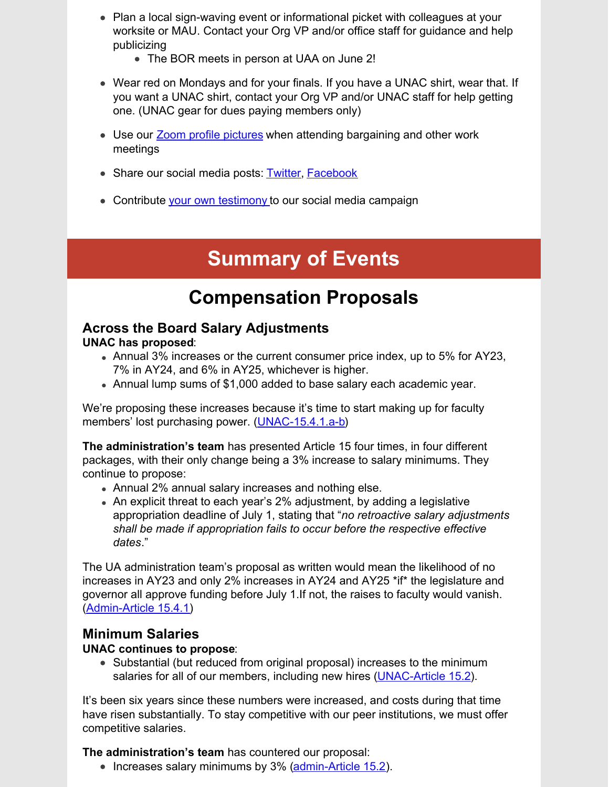- Plan a local sign-waving event or informational picket with colleagues at your worksite or MAU. Contact your Org VP and/or office staff for guidance and help publicizing
	- The BOR meets in person at UAA on June 2!
- Wear red on Mondays and for your finals. If you have a UNAC shirt, wear that. If you want a UNAC shirt, contact your Org VP and/or UNAC staff for help getting one. (UNAC gear for dues paying members only)
- Use our **Zoom profile [pictures](http://unitedacademics.net/social-media-and-zoom-profile-pictures-and-backgrounds/)** when attending bargaining and other work meetings
- Share our social media posts: [Twitter](https://twitter.com/unac4996AK), [Facebook](https://www.facebook.com/profile.php?id=100075903454358)
- Contribute your own [testimony](https://docs.google.com/forms/d/e/1FAIpQLSfdo6OlCAG4D5HklR9Rq2t0iRCu4xQhSiWyz2orYK7aTgQ6Tw/viewform?usp=sf_link) to our social media campaign

# **Summary of Events**

## **Compensation Proposals**

#### **Across the Board Salary Adjustments UNAC has proposed**:

- Annual 3% increases or the current consumer price index, up to 5% for AY23, 7% in AY24, and 6% in AY25, whichever is higher.
- Annual lump sums of \$1,000 added to base salary each academic year.

We're proposing these increases because it's time to start making up for faculty members' lost purchasing power. [\(UNAC-15.4.1.a-b](http://unitedacademics.net/wp-content/uploads/2022/04/Article-15-UNAC-Counter-4-19-22.pdf))

**The administration's team** has presented Article 15 four times, in four different packages, with their only change being a 3% increase to salary minimums. They continue to propose:

- Annual 2% annual salary increases and nothing else.
- An explicit threat to each year's 2% adjustment, by adding a legislative appropriation deadline of July 1, stating that "*no retroactive salary adjustments shall be made if appropriation fails to occur before the respective effective dates*."

The UA administration team's proposal as written would mean the likelihood of no increases in AY23 and only 2% increases in AY24 and AY25 \*if\* the legislature and governor all approve funding before July 1.If not, the raises to faculty would vanish. [\(Admin-Article](http://unitedacademics.net/wp-content/uploads/2022/04/UA-Management-team-package-proposal-4-5-22.pdf) 15.4.1)

### **Minimum Salaries**

#### **UNAC continues to propose**:

• Substantial (but reduced from original proposal) increases to the minimum salaries for all of our members, including new hires [\(UNAC-Article](http://unitedacademics.net/wp-content/uploads/2022/04/Article-15-UNAC-Counter-4-19-22.pdf) 15.2).

It's been six years since these numbers were increased, and costs during that time have risen substantially. To stay competitive with our peer institutions, we must offer competitive salaries.

**The administration's team** has countered our proposal:

• Increases salary minimums by 3% [\(admin-Article](http://unitedacademics.net/wp-content/uploads/2022/04/UA-Management-team-package-proposal-4-5-22.pdf) 15.2).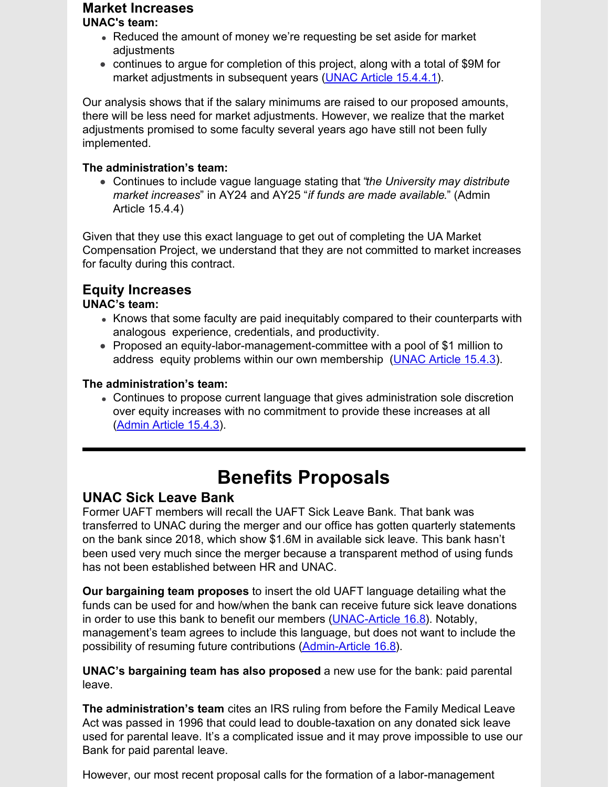## **Market Increases**

#### **UNAC's team:**

- Reduced the amount of money we're requesting be set aside for market adjustments
- continues to argue for completion of this project, along with a total of \$9M for market adjustments in subsequent years (UNAC Article [15.4.4.1](http://unitedacademics.net/wp-content/uploads/2022/04/Article-15-UNAC-Counter-4-19-22.pdf)).

Our analysis shows that if the salary minimums are raised to our proposed amounts, there will be less need for market adjustments. However, we realize that the market adjustments promised to some faculty several years ago have still not been fully implemented.

#### **The administration's team:**

Continues to include vague language stating that "*the University may distribute market increases*" in AY24 and AY25 "*if funds are made available*." (Admin Article 15.4.4)

Given that they use this exact language to get out of completing the UA Market Compensation Project, we understand that they are not committed to market increases for faculty during this contract.

## **Equity Increases**

#### **UNAC's team:**

- Knows that some faculty are paid inequitably compared to their counterparts with analogous experience, credentials, and productivity.
- Proposed an equity-labor-management-committee with a pool of \$1 million to address equity problems within our own membership ([UNAC](http://unitedacademics.net/wp-content/uploads/2022/04/Article-15-UNAC-Counter-4-19-22.pdf) Article 15.4.3).

#### **The administration's team:**

Continues to propose current language that gives administration sole discretion over equity increases with no commitment to provide these increases at all [\(Admin](http://unitedacademics.net/wp-content/uploads/2022/04/UA-Management-team-package-proposal-4-5-22.pdf) Article 15.4.3).

## **Benefits Proposals**

### **UNAC Sick Leave Bank**

Former UAFT members will recall the UAFT Sick Leave Bank. That bank was transferred to UNAC during the merger and our office has gotten quarterly statements on the bank since 2018, which show \$1.6M in available sick leave. This bank hasn't been used very much since the merger because a transparent method of using funds has not been established between HR and UNAC.

**Our bargaining team proposes** to insert the old UAFT language detailing what the funds can be used for and how/when the bank can receive future sick leave donations in order to use this bank to benefit our members [\(UNAC-Article](http://unitedacademics.net/wp-content/uploads/2022/04/Article-16-UNAC-counter-4-19-22.pdf) 16.8). Notably, management's team agrees to include this language, but does not want to include the possibility of resuming future contributions [\(Admin-Article](http://unitedacademics.net/wp-content/uploads/2022/04/UA-Management-team-package-proposal-4-5-22.pdf) 16.8).

**UNAC's bargaining team has also proposed** a new use for the bank: paid parental leave.

**The administration's team** cites an IRS ruling from before the Family Medical Leave Act was passed in 1996 that could lead to double-taxation on any donated sick leave used for parental leave. It's a complicated issue and it may prove impossible to use our Bank for paid parental leave.

However, our most recent proposal calls for the formation of a labor-management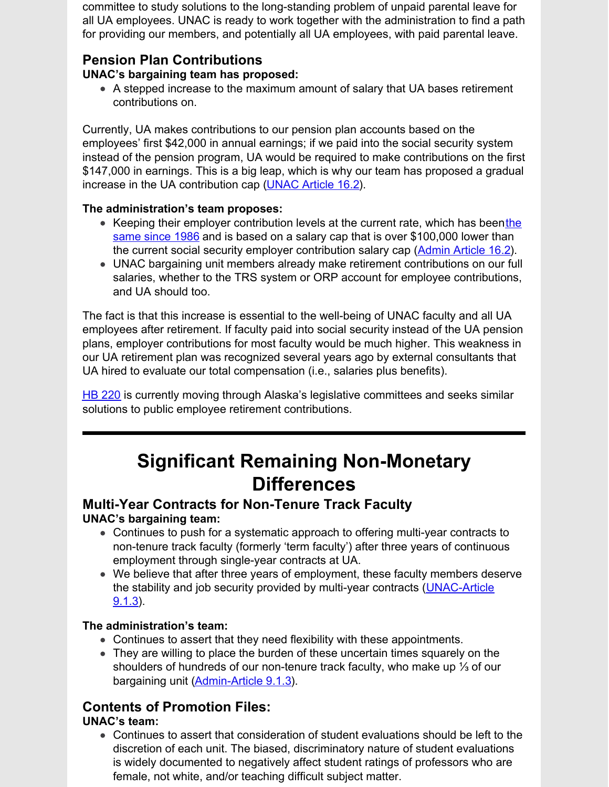committee to study solutions to the long-standing problem of unpaid parental leave for all UA employees. UNAC is ready to work together with the administration to find a path for providing our members, and potentially all UA employees, with paid parental leave.

## **Pension Plan Contributions**

## **UNAC's bargaining team has proposed:**

A stepped increase to the maximum amount of salary that UA bases retirement contributions on.

Currently, UA makes contributions to our pension plan accounts based on the employees' first \$42,000 in annual earnings; if we paid into the social security system instead of the pension program, UA would be required to make contributions on the first \$147,000 in earnings. This is a big leap, which is why our team has proposed a gradual increase in the UA contribution cap [\(UNAC](http://unitedacademics.net/wp-content/uploads/2022/04/Article-16-UNAC-counter-4-19-22.pdf) Article 16.2).

## **The administration's team proposes:**

- Keeping their employer [contribution](https://www.ssa.gov/OACT/COLA/cbb.html) levels at the curre[n](https://www.ssa.gov/OACT/COLA/cbb.html)t rate, which has beenthe same since 198[6](https://www.ssa.gov/OACT/COLA/cbb.html) and is based on a salary cap that is over \$100,000 lower than the current social security employer contribution salary cap [\(Admin](http://unitedacademics.net/wp-content/uploads/2022/04/UA-Management-team-package-proposal-4-5-22.pdf) Article 16.2).
- UNAC bargaining unit members already make retirement contributions on our full salaries, whether to the TRS system or ORP account for employee contributions, and UA should too.

The fact is that this increase is essential to the well-being of UNAC faculty and all UA employees after retirement. If faculty paid into social security instead of the UA pension plans, employer contributions for most faculty would be much higher. This weakness in our UA retirement plan was recognized several years ago by external consultants that UA hired to evaluate our total compensation (i.e., salaries plus benefits).

HB [220](https://legiscan.com/AK/text/HB220/id/2399585) is currently moving through Alaska's legislative committees and seeks similar solutions to public employee retirement contributions.

# **Significant Remaining Non-Monetary Differences**

## **Multi-Year Contracts for Non-Tenure Track Faculty UNAC's bargaining team:**

- Continues to push for a systematic approach to offering multi-year contracts to non-tenure track faculty (formerly 'term faculty') after three years of continuous employment through single-year contracts at UA.
- We believe that after three years of employment, these faculty members deserve the stability and job security provided by multi-year contracts [\(UNAC-Article](http://unitedacademics.net/wp-content/uploads/2022/04/Article-9-UNAC-Counter-4-19-22.pdf) 9.1.3).

## **The administration's team:**

- Continues to assert that they need flexibility with these appointments.
- They are willing to place the burden of these uncertain times squarely on the shoulders of hundreds of our non-tenure track faculty, who make up ⅓ of our bargaining unit [\(Admin-Article](http://unitedacademics.net/wp-content/uploads/2022/04/UA-Management-team-package-proposal-4-5-22.pdf) 9.1.3).

## **Contents of Promotion Files:**

## **UNAC's team:**

Continues to assert that consideration of student evaluations should be left to the discretion of each unit. The biased, discriminatory nature of student evaluations is widely documented to negatively affect student ratings of professors who are female, not white, and/or teaching difficult subject matter.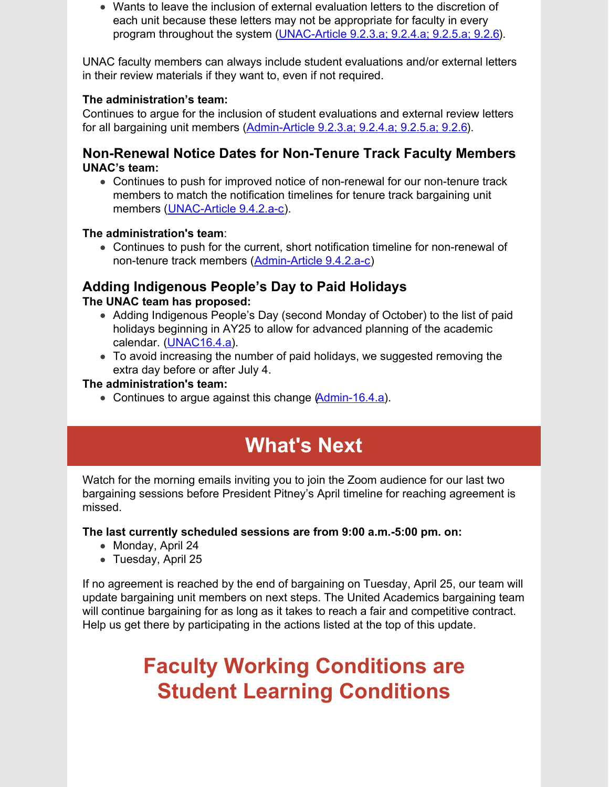Wants to leave the inclusion of external evaluation letters to the discretion of each unit because these letters may not be appropriate for faculty in every program throughout the system [\(UNAC-Article](http://unitedacademics.net/wp-content/uploads/2022/04/Article-9-UNAC-Counter-4-19-22.pdf) 9.2.3.a; 9.2.4.a; 9.2.5.a; 9.2.6).

UNAC faculty members can always include student evaluations and/or external letters in their review materials if they want to, even if not required.

#### **The administration's team:**

Continues to argue for the inclusion of student evaluations and external review letters for all bargaining unit members ([Admin-Article](http://unitedacademics.net/wp-content/uploads/2022/04/UA-Management-team-package-proposal-4-5-22.pdf) 9.2.3.a; 9.2.4.a; 9.2.5.a; 9.2.6).

### **Non-Renewal Notice Dates for Non-Tenure Track Faculty Members UNAC's team:**

Continues to push for improved notice of non-renewal for our non-tenure track members to match the notification timelines for tenure track bargaining unit members ([UNAC-Article](http://unitedacademics.net/wp-content/uploads/2022/04/Article-9-UNAC-Counter-4-19-22.pdf) 9.4.2.a-c).

### **The administration's team**:

Continues to push for the current, short notification timeline for non-renewal of non-tenure track members [\(Admin-Article](http://unitedacademics.net/wp-content/uploads/2022/04/UA-Management-team-package-proposal-4-5-22.pdf) 9.4.2.a-c)

## **Adding Indigenous People's Day to Paid Holidays**

### **The UNAC team has proposed:**

- Adding Indigenous People's Day (second Monday of October) to the list of paid holidays beginning in AY25 to allow for advanced planning of the academic calendar. [\(UNAC16.4.a](http://unitedacademics.net/wp-content/uploads/2022/04/Article-16-UNAC-counter-4-19-22.pdf)).
- To avoid increasing the number of paid holidays, we suggested removing the extra day before or after July 4.

### **The administration's team:**

• Continues to argue against this change [\(Admin-16.4.a](http://unitedacademics.net/wp-content/uploads/2022/04/UA-Management-team-package-proposal-4-5-22.pdf)).

# **What's Next**

Watch for the morning emails inviting you to join the Zoom audience for our last two bargaining sessions before President Pitney's April timeline for reaching agreement is missed.

### **The last currently scheduled sessions are from 9:00 a.m.-5:00 pm. on:**

- Monday, April 24
- Tuesday, April 25

If no agreement is reached by the end of bargaining on Tuesday, April 25, our team will update bargaining unit members on next steps. The United Academics bargaining team will continue bargaining for as long as it takes to reach a fair and competitive contract. Help us get there by participating in the actions listed at the top of this update.

# **Faculty Working Conditions are Student Learning Conditions**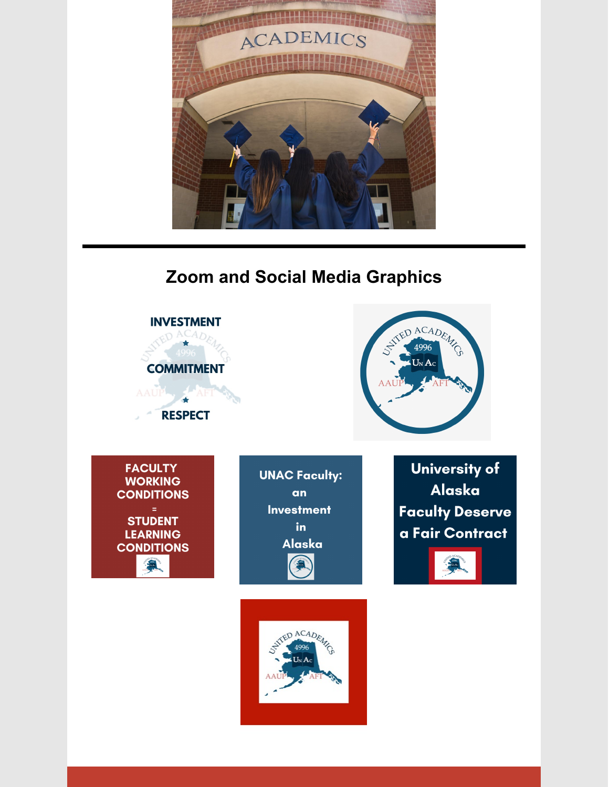

## **Zoom and Social Media Graphics**